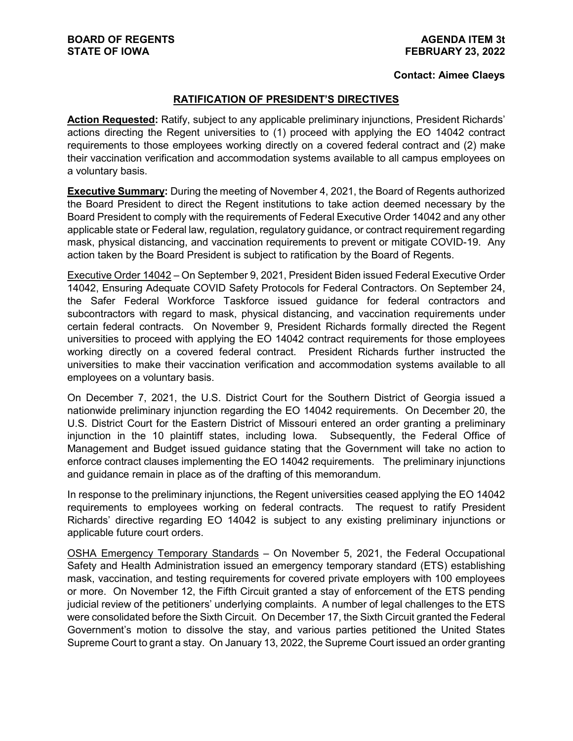## **Contact: Aimee Claeys**

## **RATIFICATION OF PRESIDENT'S DIRECTIVES**

**Action Requested:** Ratify, subject to any applicable preliminary injunctions, President Richards' actions directing the Regent universities to (1) proceed with applying the EO 14042 contract requirements to those employees working directly on a covered federal contract and (2) make their vaccination verification and accommodation systems available to all campus employees on a voluntary basis.

**Executive Summary:** During the meeting of November 4, 2021, the Board of Regents authorized the Board President to direct the Regent institutions to take action deemed necessary by the Board President to comply with the requirements of Federal Executive Order 14042 and any other applicable state or Federal law, regulation, regulatory guidance, or contract requirement regarding mask, physical distancing, and vaccination requirements to prevent or mitigate COVID-19. Any action taken by the Board President is subject to ratification by the Board of Regents.

Executive Order 14042 – On September 9, 2021, President Biden issued Federal Executive Order 14042, Ensuring Adequate COVID Safety Protocols for Federal Contractors. On September 24, the Safer Federal Workforce Taskforce issued guidance for federal contractors and subcontractors with regard to mask, physical distancing, and vaccination requirements under certain federal contracts. On November 9, President Richards formally directed the Regent universities to proceed with applying the EO 14042 contract requirements for those employees working directly on a covered federal contract. President Richards further instructed the universities to make their vaccination verification and accommodation systems available to all employees on a voluntary basis.

On December 7, 2021, the U.S. District Court for the Southern District of Georgia issued a nationwide preliminary injunction regarding the EO 14042 requirements. On December 20, the U.S. District Court for the Eastern District of Missouri entered an order granting a preliminary injunction in the 10 plaintiff states, including Iowa. Subsequently, the Federal Office of Management and Budget issued guidance stating that the Government will take no action to enforce contract clauses implementing the EO 14042 requirements. The preliminary injunctions and guidance remain in place as of the drafting of this memorandum.

In response to the preliminary injunctions, the Regent universities ceased applying the EO 14042 requirements to employees working on federal contracts. The request to ratify President Richards' directive regarding EO 14042 is subject to any existing preliminary injunctions or applicable future court orders.

OSHA Emergency Temporary Standards – On November 5, 2021, the Federal Occupational Safety and Health Administration issued an emergency temporary standard (ETS) establishing mask, vaccination, and testing requirements for covered private employers with 100 employees or more. On November 12, the Fifth Circuit granted a stay of enforcement of the ETS pending judicial review of the petitioners' underlying complaints. A number of legal challenges to the ETS were consolidated before the Sixth Circuit. On December 17, the Sixth Circuit granted the Federal Government's motion to dissolve the stay, and various parties petitioned the United States Supreme Court to grant a stay. On January 13, 2022, the Supreme Court issued an order granting